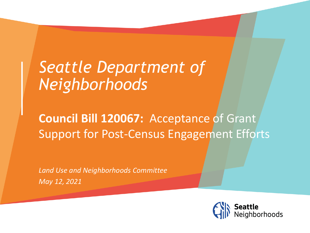# *Seattle Department of Neighborhoods*

### **Council Bill 120067:** Acceptance of Grant Support for Post-Census Engagement Efforts

*Land Use and Neighborhoods Committee May 12, 2021*

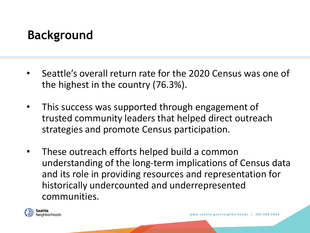### **Background**

- Seattle's overall return rate for the 2020 Census was one of the highest in the country (76.3%).
- This success was supported through engagement of trusted community leaders that helped direct outreach strategies and promote Census participation.
- These outreach efforts helped build a common understanding of the long-term implications of Census data and its role in providing resources and representation for historically undercounted and underrepresented communities.

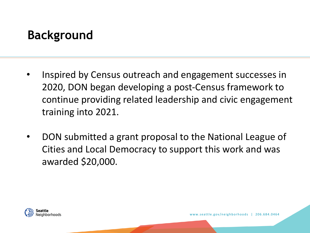## **Background**

- Inspired by Census outreach and engagement successes in 2020, DON began developing a post-Census framework to continue providing related leadership and civic engagement training into 2021.
- DON submitted a grant proposal to the National League of Cities and Local Democracy to support this work and was awarded \$20,000.

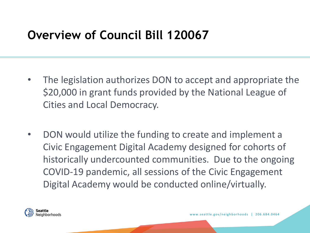#### **Overview of Council Bill 120067**

- The legislation authorizes DON to accept and appropriate the \$20,000 in grant funds provided by the National League of Cities and Local Democracy.
- DON would utilize the funding to create and implement a Civic Engagement Digital Academy designed for cohorts of historically undercounted communities. Due to the ongoing COVID-19 pandemic, all sessions of the Civic Engagement Digital Academy would be conducted online/virtually.

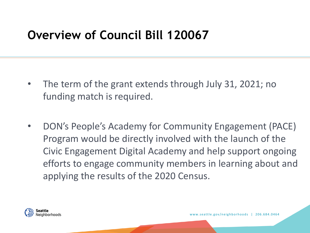#### **Overview of Council Bill 120067**

- The term of the grant extends through July 31, 2021; no funding match is required.
- DON's People's Academy for Community Engagement (PACE) Program would be directly involved with the launch of the Civic Engagement Digital Academy and help support ongoing efforts to engage community members in learning about and applying the results of the 2020 Census.